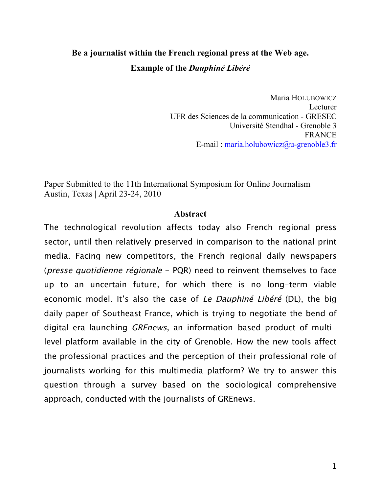# **Be a journalist within the French regional press at the Web age. Example of the** *Dauphiné Libéré*

Maria HOLUBOWICZ Lecturer UFR des Sciences de la communication - GRESEC Université Stendhal - Grenoble 3 FRANCE E-mail : maria.holubowicz@u-grenoble3.fr

Paper Submitted to the 11th International Symposium for Online Journalism Austin, Texas | April 23-24, 2010

# **Abstract**

The technological revolution affects today also French regional press sector, until then relatively preserved in comparison to the national print media. Facing new competitors, the French regional daily newspapers (presse quotidienne régionale - PQR) need to reinvent themselves to face up to an uncertain future, for which there is no long-term viable economic model. It's also the case of Le Dauphiné Libéré (DL), the big daily paper of Southeast France, which is trying to negotiate the bend of digital era launching GREnews, an information-based product of multilevel platform available in the city of Grenoble. How the new tools affect the professional practices and the perception of their professional role of journalists working for this multimedia platform? We try to answer this question through a survey based on the sociological comprehensive approach, conducted with the journalists of GREnews.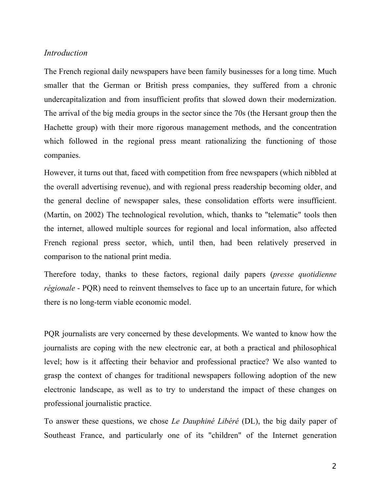#### *Introduction*

The French regional daily newspapers have been family businesses for a long time. Much smaller that the German or British press companies, they suffered from a chronic undercapitalization and from insufficient profits that slowed down their modernization. The arrival of the big media groups in the sector since the 70s (the Hersant group then the Hachette group) with their more rigorous management methods, and the concentration which followed in the regional press meant rationalizing the functioning of those companies.

However, it turns out that, faced with competition from free newspapers (which nibbled at the overall advertising revenue), and with regional press readership becoming older, and the general decline of newspaper sales, these consolidation efforts were insufficient. (Martin, on 2002) The technological revolution, which, thanks to "telematic" tools then the internet, allowed multiple sources for regional and local information, also affected French regional press sector, which, until then, had been relatively preserved in comparison to the national print media.

Therefore today, thanks to these factors, regional daily papers (*presse quotidienne régionale* - PQR) need to reinvent themselves to face up to an uncertain future, for which there is no long-term viable economic model.

PQR journalists are very concerned by these developments. We wanted to know how the journalists are coping with the new electronic ear, at both a practical and philosophical level; how is it affecting their behavior and professional practice? We also wanted to grasp the context of changes for traditional newspapers following adoption of the new electronic landscape, as well as to try to understand the impact of these changes on professional journalistic practice.

To answer these questions, we chose *Le Dauphiné Libéré* (DL), the big daily paper of Southeast France, and particularly one of its "children" of the Internet generation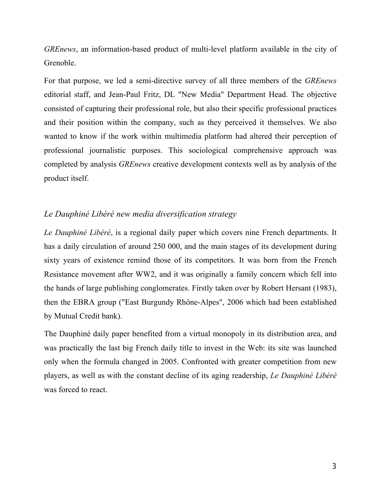*GREnews*, an information-based product of multi-level platform available in the city of Grenoble.

For that purpose, we led a semi-directive survey of all three members of the *GREnews*  editorial staff, and Jean-Paul Fritz, DL "New Media" Department Head. The objective consisted of capturing their professional role, but also their specific professional practices and their position within the company, such as they perceived it themselves. We also wanted to know if the work within multimedia platform had altered their perception of professional journalistic purposes. This sociological comprehensive approach was completed by analysis *GREnews* creative development contexts well as by analysis of the product itself.

# *Le Dauphiné Libéré new media diversification strategy*

*Le Dauphiné Libéré*, is a regional daily paper which covers nine French departments. It has a daily circulation of around 250 000, and the main stages of its development during sixty years of existence remind those of its competitors. It was born from the French Resistance movement after WW2, and it was originally a family concern which fell into the hands of large publishing conglomerates. Firstly taken over by Robert Hersant (1983), then the EBRA group ("East Burgundy Rhône-Alpes", 2006 which had been established by Mutual Credit bank).

The Dauphiné daily paper benefited from a virtual monopoly in its distribution area, and was practically the last big French daily title to invest in the Web: its site was launched only when the formula changed in 2005. Confronted with greater competition from new players, as well as with the constant decline of its aging readership, *Le Dauphiné Libéré* was forced to react.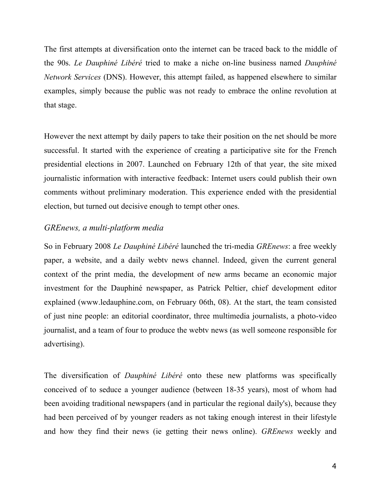The first attempts at diversification onto the internet can be traced back to the middle of the 90s. *Le Dauphiné Libéré* tried to make a niche on-line business named *Dauphiné Network Services* (DNS). However, this attempt failed, as happened elsewhere to similar examples, simply because the public was not ready to embrace the online revolution at that stage.

However the next attempt by daily papers to take their position on the net should be more successful. It started with the experience of creating a participative site for the French presidential elections in 2007. Launched on February 12th of that year, the site mixed journalistic information with interactive feedback: Internet users could publish their own comments without preliminary moderation. This experience ended with the presidential election, but turned out decisive enough to tempt other ones.

# *GREnews, a multi-platform media*

So in February 2008 *Le Dauphiné Libéré* launched the tri-media *GREnews*: a free weekly paper, a website, and a daily webtv news channel. Indeed, given the current general context of the print media, the development of new arms became an economic major investment for the Dauphiné newspaper, as Patrick Peltier, chief development editor explained (www.ledauphine.com, on February 06th, 08). At the start, the team consisted of just nine people: an editorial coordinator, three multimedia journalists, a photo-video journalist, and a team of four to produce the webtv news (as well someone responsible for advertising).

The diversification of *Dauphiné Libéré* onto these new platforms was specifically conceived of to seduce a younger audience (between 18-35 years), most of whom had been avoiding traditional newspapers (and in particular the regional daily's), because they had been perceived of by younger readers as not taking enough interest in their lifestyle and how they find their news (ie getting their news online). *GREnews* weekly and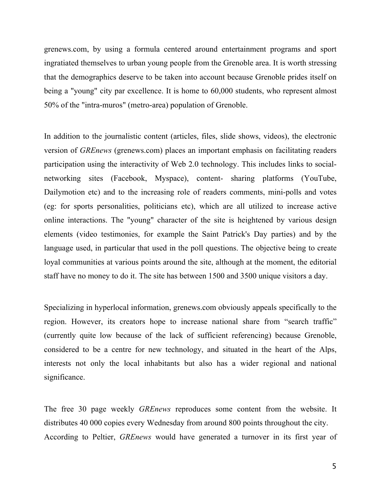grenews.com, by using a formula centered around entertainment programs and sport ingratiated themselves to urban young people from the Grenoble area. It is worth stressing that the demographics deserve to be taken into account because Grenoble prides itself on being a "young" city par excellence. It is home to 60,000 students, who represent almost 50% of the "intra-muros" (metro-area) population of Grenoble.

In addition to the journalistic content (articles, files, slide shows, videos), the electronic version of *GREnews* (grenews.com) places an important emphasis on facilitating readers participation using the interactivity of Web 2.0 technology. This includes links to socialnetworking sites (Facebook, Myspace), content- sharing platforms (YouTube, Dailymotion etc) and to the increasing role of readers comments, mini-polls and votes (eg: for sports personalities, politicians etc), which are all utilized to increase active online interactions. The "young" character of the site is heightened by various design elements (video testimonies, for example the Saint Patrick's Day parties) and by the language used, in particular that used in the poll questions. The objective being to create loyal communities at various points around the site, although at the moment, the editorial staff have no money to do it. The site has between 1500 and 3500 unique visitors a day.

Specializing in hyperlocal information, grenews.com obviously appeals specifically to the region. However, its creators hope to increase national share from "search traffic" (currently quite low because of the lack of sufficient referencing) because Grenoble, considered to be a centre for new technology, and situated in the heart of the Alps, interests not only the local inhabitants but also has a wider regional and national significance.

The free 30 page weekly *GREnews* reproduces some content from the website. It distributes 40 000 copies every Wednesday from around 800 points throughout the city. According to Peltier, *GREnews* would have generated a turnover in its first year of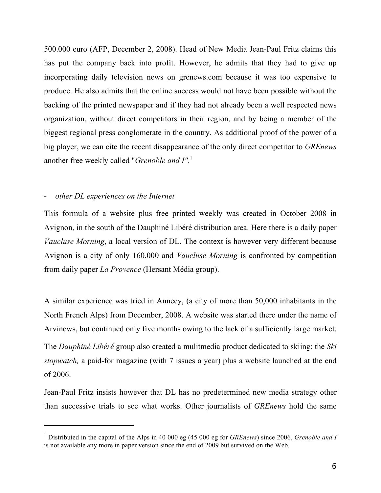500.000 euro (AFP, December 2, 2008). Head of New Media Jean-Paul Fritz claims this has put the company back into profit. However, he admits that they had to give up incorporating daily television news on grenews.com because it was too expensive to produce. He also admits that the online success would not have been possible without the backing of the printed newspaper and if they had not already been a well respected news organization, without direct competitors in their region, and by being a member of the biggest regional press conglomerate in the country. As additional proof of the power of a big player, we can cite the recent disappearance of the only direct competitor to *GREnews* another free weekly called "*Grenoble and I"*. 1

# - *other DL experiences on the Internet*

-

This formula of a website plus free printed weekly was created in October 2008 in Avignon, in the south of the Dauphiné Libéré distribution area. Here there is a daily paper *Vaucluse Morning*, a local version of DL. The context is however very different because Avignon is a city of only 160,000 and *Vaucluse Morning* is confronted by competition from daily paper *La Provence* (Hersant Média group).

A similar experience was tried in Annecy, (a city of more than 50,000 inhabitants in the North French Alps) from December, 2008. A website was started there under the name of Arvinews, but continued only five months owing to the lack of a sufficiently large market.

The *Dauphiné Libéré* group also created a mulitmedia product dedicated to skiing: the *Ski stopwatch,* a paid-for magazine (with 7 issues a year) plus a website launched at the end of 2006.

Jean-Paul Fritz insists however that DL has no predetermined new media strategy other than successive trials to see what works. Other journalists of *GREnews* hold the same

<sup>1</sup> Distributed in the capital of the Alps in 40 000 eg (45 000 eg for *GREnews*) since 2006, *Grenoble and I* is not available any more in paper version since the end of 2009 but survived on the Web.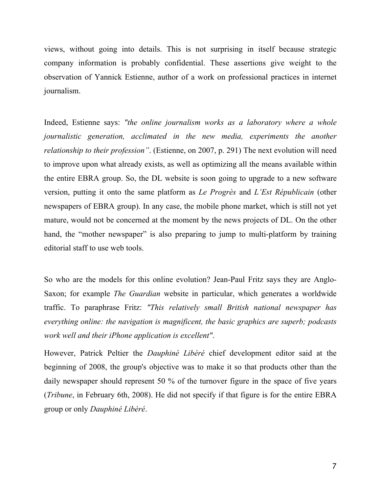views, without going into details. This is not surprising in itself because strategic company information is probably confidential. These assertions give weight to the observation of Yannick Estienne, author of a work on professional practices in internet journalism.

Indeed, Estienne says: *"the online journalism works as a laboratory where a whole journalistic generation, acclimated in the new media, experiments the another relationship to their profession"*. (Estienne, on 2007, p. 291) The next evolution will need to improve upon what already exists, as well as optimizing all the means available within the entire EBRA group. So, the DL website is soon going to upgrade to a new software version, putting it onto the same platform as *Le Progrès* and *L'Est Républicain* (other newspapers of EBRA group). In any case, the mobile phone market, which is still not yet mature, would not be concerned at the moment by the news projects of DL. On the other hand, the "mother newspaper" is also preparing to jump to multi-platform by training editorial staff to use web tools.

So who are the models for this online evolution? Jean-Paul Fritz says they are Anglo-Saxon; for example *The Guardian* website in particular, which generates a worldwide traffic. To paraphrase Fritz: *"This relatively small British national newspaper has everything online: the navigation is magnificent, the basic graphics are superb; podcasts work well and their iPhone application is excellent"*.

However, Patrick Peltier the *Dauphiné Libéré* chief development editor said at the beginning of 2008, the group's objective was to make it so that products other than the daily newspaper should represent 50 % of the turnover figure in the space of five years (*Tribune*, in February 6th, 2008). He did not specify if that figure is for the entire EBRA group or only *Dauphiné Libéré*.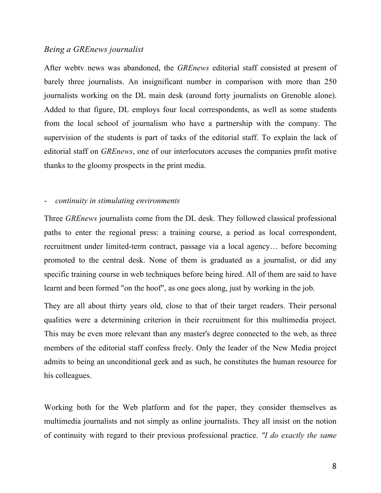#### *Being a GREnews journalist*

After webtv news was abandoned, the *GREnews* editorial staff consisted at present of barely three journalists. An insignificant number in comparison with more than 250 journalists working on the DL main desk (around forty journalists on Grenoble alone). Added to that figure, DL employs four local correspondents, as well as some students from the local school of journalism who have a partnership with the company. The supervision of the students is part of tasks of the editorial staff. To explain the lack of editorial staff on *GREnews*, one of our interlocutors accuses the companies profit motive thanks to the gloomy prospects in the print media.

#### - *continuity in stimulating environments*

Three *GREnews* journalists come from the DL desk. They followed classical professional paths to enter the regional press: a training course, a period as local correspondent, recruitment under limited-term contract, passage via a local agency… before becoming promoted to the central desk. None of them is graduated as a journalist, or did any specific training course in web techniques before being hired. All of them are said to have learnt and been formed "on the hoof", as one goes along, just by working in the job.

They are all about thirty years old, close to that of their target readers. Their personal qualities were a determining criterion in their recruitment for this multimedia project. This may be even more relevant than any master's degree connected to the web, as three members of the editorial staff confess freely. Only the leader of the New Media project admits to being an unconditional geek and as such, he constitutes the human resource for his colleagues.

Working both for the Web platform and for the paper, they consider themselves as multimedia journalists and not simply as online journalists. They all insist on the notion of continuity with regard to their previous professional practice. *"I do exactly the same*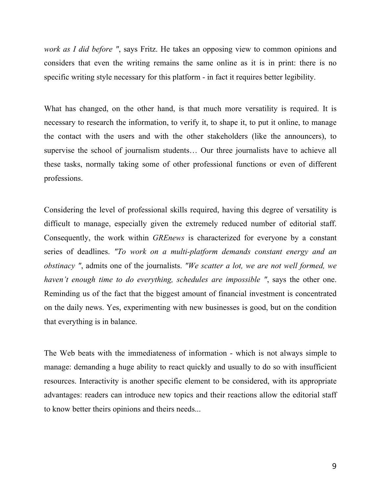*work as I did before "*, says Fritz. He takes an opposing view to common opinions and considers that even the writing remains the same online as it is in print: there is no specific writing style necessary for this platform - in fact it requires better legibility.

What has changed, on the other hand, is that much more versatility is required. It is necessary to research the information, to verify it, to shape it, to put it online, to manage the contact with the users and with the other stakeholders (like the announcers), to supervise the school of journalism students… Our three journalists have to achieve all these tasks, normally taking some of other professional functions or even of different professions.

Considering the level of professional skills required, having this degree of versatility is difficult to manage, especially given the extremely reduced number of editorial staff. Consequently, the work within *GREnews* is characterized for everyone by a constant series of deadlines. *"To work on a multi-platform demands constant energy and an obstinacy "*, admits one of the journalists. *"We scatter a lot, we are not well formed, we haven't enough time to do everything, schedules are impossible "*, says the other one. Reminding us of the fact that the biggest amount of financial investment is concentrated on the daily news. Yes, experimenting with new businesses is good, but on the condition that everything is in balance.

The Web beats with the immediateness of information - which is not always simple to manage: demanding a huge ability to react quickly and usually to do so with insufficient resources. Interactivity is another specific element to be considered, with its appropriate advantages: readers can introduce new topics and their reactions allow the editorial staff to know better theirs opinions and theirs needs...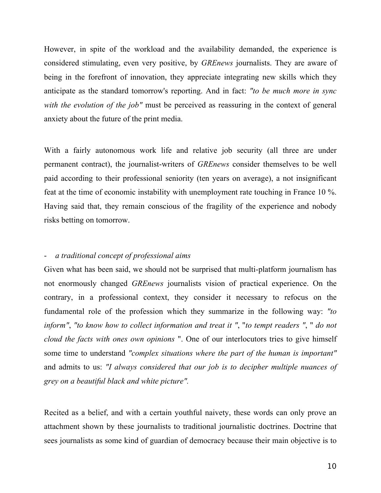However, in spite of the workload and the availability demanded, the experience is considered stimulating, even very positive, by *GREnews* journalists. They are aware of being in the forefront of innovation, they appreciate integrating new skills which they anticipate as the standard tomorrow's reporting. And in fact: *"to be much more in sync with the evolution of the job"* must be perceived as reassuring in the context of general anxiety about the future of the print media.

With a fairly autonomous work life and relative job security (all three are under permanent contract), the journalist-writers of *GREnews* consider themselves to be well paid according to their professional seniority (ten years on average), a not insignificant feat at the time of economic instability with unemployment rate touching in France 10 %. Having said that, they remain conscious of the fragility of the experience and nobody risks betting on tomorrow.

## - *a traditional concept of professional aims*

Given what has been said, we should not be surprised that multi-platform journalism has not enormously changed *GREnews* journalists vision of practical experience. On the contrary, in a professional context, they consider it necessary to refocus on the fundamental role of the profession which they summarize in the following way: *"to inform"*, *"to know how to collect information and treat it "*, "*to tempt readers "*, " *do not cloud the facts with ones own opinions* ". One of our interlocutors tries to give himself some time to understand *"complex situations where the part of the human is important"* and admits to us: *"I always considered that our job is to decipher multiple nuances of grey on a beautiful black and white picture".*

Recited as a belief, and with a certain youthful naivety, these words can only prove an attachment shown by these journalists to traditional journalistic doctrines. Doctrine that sees journalists as some kind of guardian of democracy because their main objective is to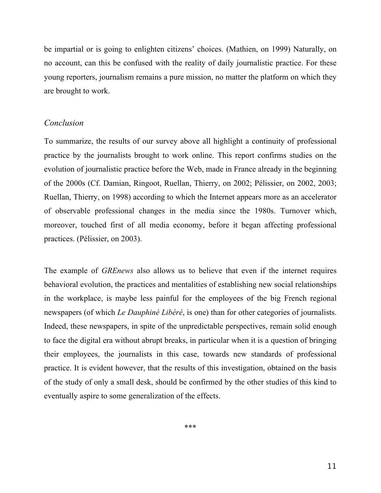be impartial or is going to enlighten citizens' choices. (Mathien, on 1999) Naturally, on no account, can this be confused with the reality of daily journalistic practice. For these young reporters, journalism remains a pure mission, no matter the platform on which they are brought to work.

## *Conclusion*

To summarize, the results of our survey above all highlight a continuity of professional practice by the journalists brought to work online. This report confirms studies on the evolution of journalistic practice before the Web, made in France already in the beginning of the 2000s (Cf. Damian, Ringoot, Ruellan, Thierry, on 2002; Pélissier, on 2002, 2003; Ruellan, Thierry, on 1998) according to which the Internet appears more as an accelerator of observable professional changes in the media since the 1980s. Turnover which, moreover, touched first of all media economy, before it began affecting professional practices. (Pélissier, on 2003).

The example of *GREnews* also allows us to believe that even if the internet requires behavioral evolution, the practices and mentalities of establishing new social relationships in the workplace, is maybe less painful for the employees of the big French regional newspapers (of which *Le Dauphiné Libéré*, is one) than for other categories of journalists. Indeed, these newspapers, in spite of the unpredictable perspectives, remain solid enough to face the digital era without abrupt breaks, in particular when it is a question of bringing their employees, the journalists in this case, towards new standards of professional practice. It is evident however, that the results of this investigation, obtained on the basis of the study of only a small desk, should be confirmed by the other studies of this kind to eventually aspire to some generalization of the effects.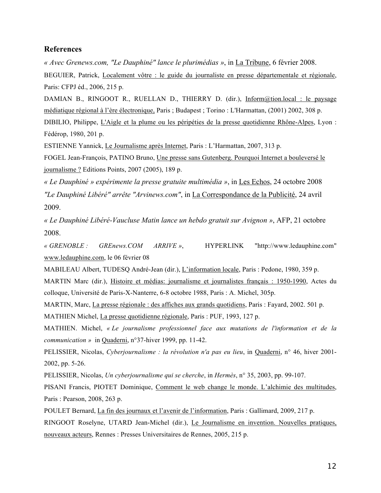#### **References**

*« Avec Grenews.com, "Le Dauphiné" lance le plurimédias »*, in La Tribune, 6 février 2008.

BEGUIER, Patrick, Localement vôtre : le guide du journaliste en presse départementale et régionale, Paris: CFPJ éd., 2006, 215 p.

DAMIAN B., RINGOOT R., RUELLAN D., THIERRY D. (dir.), Inform@tion.local : le paysage médiatique régional à l'ère électronique, Paris ; Budapest ; Torino : L'Harmattan, (2001) 2002, 308 p.

DIBILIO, Philippe, L'Aigle et la plume ou les péripéties de la presse quotidienne Rhône-Alpes, Lyon : Fédérop, 1980, 201 p.

ESTIENNE Yannick, Le Journalisme après Internet, Paris : L'Harmattan, 2007, 313 p.

FOGEL Jean-François, PATINO Bruno, Une presse sans Gutenberg. Pourquoi Internet a bouleversé le journalisme ? Editions Points, 2007 (2005), 189 p.

*« Le Dauphiné » expérimente la presse gratuite multimédia »*, in Les Echos, 24 octobre 2008 *"Le Dauphiné Libéré" arrête "Arvinews.com"*, in La Correspondance de la Publicité, 24 avril 2009.

*« Le Dauphiné Libéré-Vaucluse Matin lance un hebdo gratuit sur Avignon »*, AFP, 21 octobre 2008.

*« GRENOBLE : GREnews.COM ARRIVE »*, HYPERLINK "http://www.ledauphine.com" www.ledauphine.com, le 06 février 08

MABILEAU Albert, TUDESQ André-Jean (dir.), L'information locale, Paris : Pedone, 1980, 359 p.

MARTIN Marc (dir.), Histoire et médias: journalisme et journalistes français : 1950-1990, Actes du colloque, Université de Paris-X-Nanterre, 6-8 octobre 1988, Paris : A. Michel, 305p.

MARTIN, Marc, La presse régionale : des affiches aux grands quotidiens, Paris : Fayard, 2002. 501 p. MATHIEN Michel, La presse quotidienne régionale, Paris : PUF, 1993, 127 p.

MATHIEN. Michel, *« Le journalisme professionnel face aux mutations de l'information et de la communication »* in Quaderni, n°37-hiver 1999, pp. 11-42.

PELISSIER, Nicolas, *Cyberjournalisme : la révolution n'a pas eu lieu*, in Quaderni, n° 46, hiver 2001- 2002, pp. 5-26.

PELISSIER, Nicolas, *Un cyberjournalisme qui se cherche*, in *Hermès*, n° 35, 2003, pp. 99-107.

PISANI Francis, PIOTET Dominique, Comment le web change le monde. L'alchimie des multitudes, Paris : Pearson, 2008, 263 p.

POULET Bernard, La fin des journaux et l'avenir de l'information, Paris : Gallimard, 2009, 217 p. RINGOOT Roselyne, UTARD Jean-Michel (dir.), Le Journalisme en invention. Nouvelles pratiques, nouveaux acteurs, Rennes : Presses Universitaires de Rennes, 2005, 215 p.